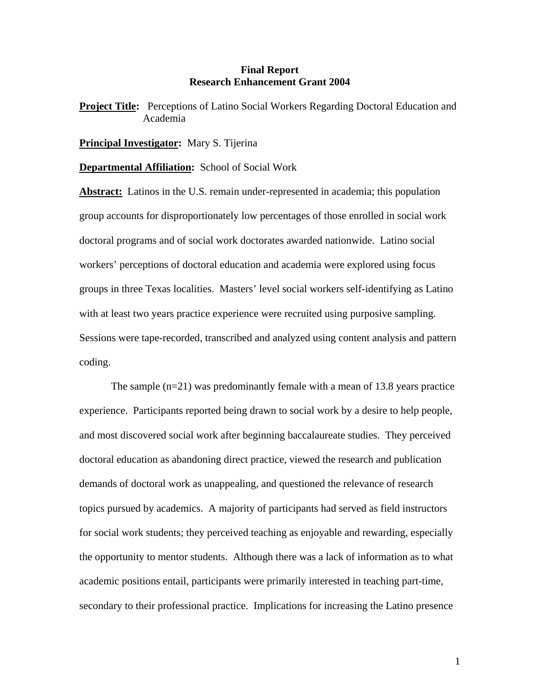## **Final Report Research Enhancement Grant 2004**

**Project Title:** Perceptions of Latino Social Workers Regarding Doctoral Education and Academia

**Principal Investigator:** Mary S. Tijerina

**Departmental Affiliation:** School of Social Work

**Abstract:** Latinos in the U.S. remain under-represented in academia; this population group accounts for disproportionately low percentages of those enrolled in social work doctoral programs and of social work doctorates awarded nationwide. Latino social workers' perceptions of doctoral education and academia were explored using focus groups in three Texas localities. Masters' level social workers self-identifying as Latino with at least two years practice experience were recruited using purposive sampling. Sessions were tape-recorded, transcribed and analyzed using content analysis and pattern coding.

The sample  $(n=21)$  was predominantly female with a mean of 13.8 years practice experience. Participants reported being drawn to social work by a desire to help people, and most discovered social work after beginning baccalaureate studies. They perceived doctoral education as abandoning direct practice, viewed the research and publication demands of doctoral work as unappealing, and questioned the relevance of research topics pursued by academics. A majority of participants had served as field instructors for social work students; they perceived teaching as enjoyable and rewarding, especially the opportunity to mentor students. Although there was a lack of information as to what academic positions entail, participants were primarily interested in teaching part-time, secondary to their professional practice. Implications for increasing the Latino presence

1